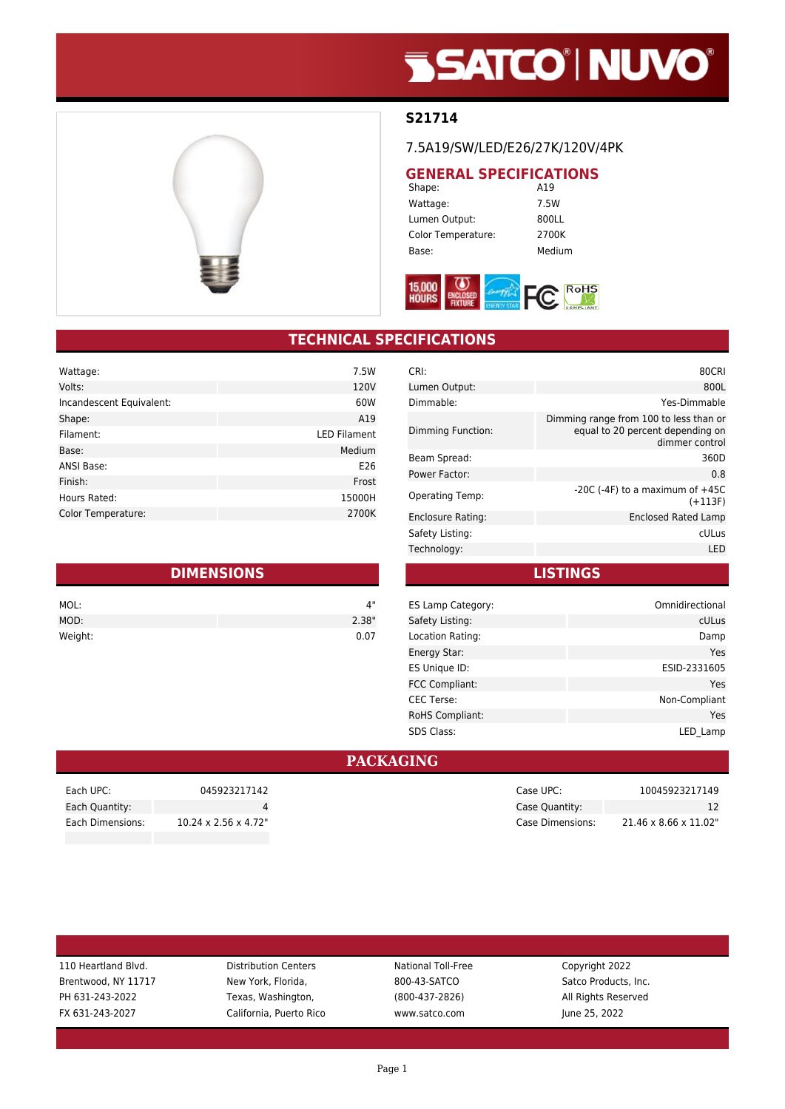# **SSATCO' NUVO'**



### **S21714**

#### 7.5A19/SW/LED/E26/27K/120V/4PK

## **GENERAL SPECIFICATIONS**<br>Shape: A19

Shape: Wattage: 7.5W Lumen Output: 800LL Color Temperature: 2700K Base: Medium



### **TECHNICAL SPECIFICATIONS**

| Wattage:                  | 7.5W                |
|---------------------------|---------------------|
| Volts:                    | 120V                |
| Incandescent Equivalent:  | 60W                 |
| Shape:                    | A19                 |
| Filament:                 | <b>LED Filament</b> |
| Base:                     | Medium              |
| <b>ANSI Base:</b>         | E26                 |
| Finish:                   | Frost               |
| Hours Rated:              | 15000H              |
| <b>Color Temperature:</b> | 2700K               |

| <b>DIMENSIONS</b> |       |  |
|-------------------|-------|--|
| MOL:              | 4"    |  |
| MOD:              | 2.38" |  |
| Weight:           | 0.07  |  |

| CRI:                   | 80CRI                                                                                        |
|------------------------|----------------------------------------------------------------------------------------------|
| Lumen Output:          | 800L                                                                                         |
| Dimmable:              | Yes-Dimmable                                                                                 |
| Dimming Function:      | Dimming range from 100 to less than or<br>equal to 20 percent depending on<br>dimmer control |
| Beam Spread:           | 360D                                                                                         |
| Power Factor:          | 0.8                                                                                          |
| <b>Operating Temp:</b> | $-20C$ ( $-4F$ ) to a maximum of $+45C$<br>$(+113F)$                                         |
| Enclosure Rating:      | <b>Enclosed Rated Lamp</b>                                                                   |
| Safety Listing:        | cULus                                                                                        |
| Technology:            | LED                                                                                          |
|                        |                                                                                              |

**LISTINGS**

| Omnidirectional |
|-----------------|
| cULus           |
| Damp            |
| Yes             |
| ESID-2331605    |
| Yes             |
| Non-Compliant   |
| Yes             |
| LED Lamp        |
|                 |

#### **PACKAGING**

| 110 Heartland Blvd. | <b>Distribution Centers</b> | National Toll-Free | Copyright 2022       |
|---------------------|-----------------------------|--------------------|----------------------|
| Brentwood, NY 11717 | New York, Florida,          | 800-43-SATCO       | Satco Products, Inc. |
| PH 631-243-2022     | Texas, Washington,          | $(800-437-2826)$   | All Rights Reserved  |
| FX 631-243-2027     | California, Puerto Rico     | www.satco.com      | June 25, 2022        |
|                     |                             |                    |                      |